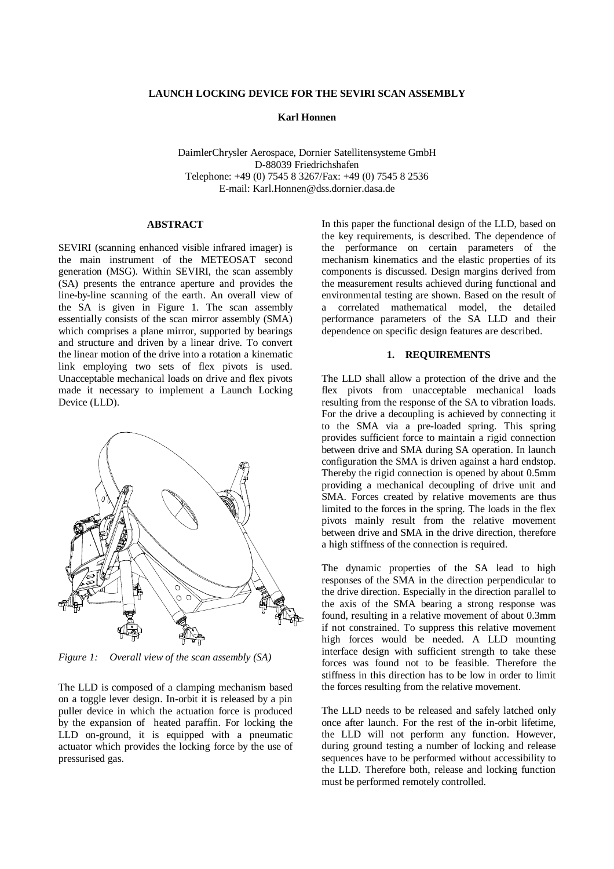### **LAUNCH LOCKING DEVICE FOR THE SEVIRI SCAN ASSEMBLY**

**Karl Honnen**

DaimlerChrysler Aerospace, Dornier Satellitensysteme GmbH D-88039 Friedrichshafen Telephone: +49 (0) 7545 8 3267/Fax: +49 (0) 7545 8 2536 E-mail: Karl.Honnen@dss.dornier.dasa.de

# **ABSTRACT**

SEVIRI (scanning enhanced visible infrared imager) is the main instrument of the METEOSAT second generation (MSG). Within SEVIRI, the scan assembly (SA) presents the entrance aperture and provides the line-by-line scanning of the earth. An overall view of the SA is given in Figure 1. The scan assembly essentially consists of the scan mirror assembly (SMA) which comprises a plane mirror, supported by bearings and structure and driven by a linear drive. To convert the linear motion of the drive into a rotation a kinematic link employing two sets of flex pivots is used. Unacceptable mechanical loads on drive and flex pivots made it necessary to implement a Launch Locking Device (LLD).



*Figure 1: Overall view of the scan assembly (SA)*

The LLD is composed of a clamping mechanism based on a toggle lever design. In-orbit it is released by a pin puller device in which the actuation force is produced by the expansion of heated paraffin. For locking the LLD on-ground, it is equipped with a pneumatic actuator which provides the locking force by the use of pressurised gas.

In this paper the functional design of the LLD, based on the key requirements, is described. The dependence of the performance on certain parameters of the mechanism kinematics and the elastic properties of its components is discussed. Design margins derived from the measurement results achieved during functional and environmental testing are shown. Based on the result of a correlated mathematical model, the detailed performance parameters of the SA LLD and their dependence on specific design features are described.

# **1. REQUIREMENTS**

The LLD shall allow a protection of the drive and the flex pivots from unacceptable mechanical loads resulting from the response of the SA to vibration loads. For the drive a decoupling is achieved by connecting it to the SMA via a pre-loaded spring. This spring provides sufficient force to maintain a rigid connection between drive and SMA during SA operation. In launch configuration the SMA is driven against a hard endstop. Thereby the rigid connection is opened by about 0.5mm providing a mechanical decoupling of drive unit and SMA. Forces created by relative movements are thus limited to the forces in the spring. The loads in the flex pivots mainly result from the relative movement between drive and SMA in the drive direction, therefore a high stiffness of the connection is required.

The dynamic properties of the SA lead to high responses of the SMA in the direction perpendicular to the drive direction. Especially in the direction parallel to the axis of the SMA bearing a strong response was found, resulting in a relative movement of about 0.3mm if not constrained. To suppress this relative movement high forces would be needed. A LLD mounting interface design with sufficient strength to take these forces was found not to be feasible. Therefore the stiffness in this direction has to be low in order to limit the forces resulting from the relative movement.

The LLD needs to be released and safely latched only once after launch. For the rest of the in-orbit lifetime, the LLD will not perform any function. However, during ground testing a number of locking and release sequences have to be performed without accessibility to the LLD. Therefore both, release and locking function must be performed remotely controlled.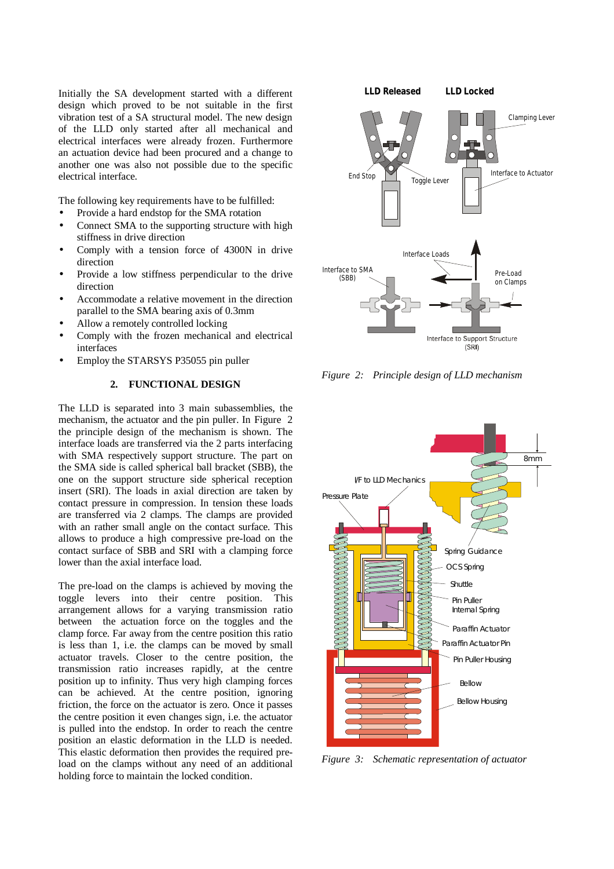Initially the SA development started with a different design which proved to be not suitable in the first vibration test of a SA structural model. The new design of the LLD only started after all mechanical and electrical interfaces were already frozen. Furthermore an actuation device had been procured and a change to another one was also not possible due to the specific electrical interface.

The following key requirements have to be fulfilled:

- Provide a hard endstop for the SMA rotation
- Connect SMA to the supporting structure with high stiffness in drive direction
- Comply with a tension force of 4300N in drive direction
- Provide a low stiffness perpendicular to the drive direction
- Accommodate a relative movement in the direction parallel to the SMA bearing axis of 0.3mm
- Allow a remotely controlled locking
- Comply with the frozen mechanical and electrical interfaces
- Employ the STARSYS P35055 pin puller

# **2. FUNCTIONAL DESIGN**

The LLD is separated into 3 main subassemblies, the mechanism, the actuator and the pin puller. In Figure 2 the principle design of the mechanism is shown. The interface loads are transferred via the 2 parts interfacing with SMA respectively support structure. The part on the SMA side is called spherical ball bracket (SBB), the one on the support structure side spherical reception insert (SRI). The loads in axial direction are taken by contact pressure in compression. In tension these loads are transferred via 2 clamps. The clamps are provided with an rather small angle on the contact surface. This allows to produce a high compressive pre-load on the contact surface of SBB and SRI with a clamping force lower than the axial interface load.

The pre-load on the clamps is achieved by moving the toggle levers into their centre position. This arrangement allows for a varying transmission ratio between the actuation force on the toggles and the clamp force. Far away from the centre position this ratio is less than 1, i.e. the clamps can be moved by small actuator travels. Closer to the centre position, the transmission ratio increases rapidly, at the centre position up to infinity. Thus very high clamping forces can be achieved. At the centre position, ignoring friction, the force on the actuator is zero. Once it passes the centre position it even changes sign, i.e. the actuator is pulled into the endstop. In order to reach the centre position an elastic deformation in the LLD is needed. This elastic deformation then provides the required preload on the clamps without any need of an additional holding force to maintain the locked condition.



*Figure 2: Principle design of LLD mechanism*



*Figure 3: Schematic representation of actuator*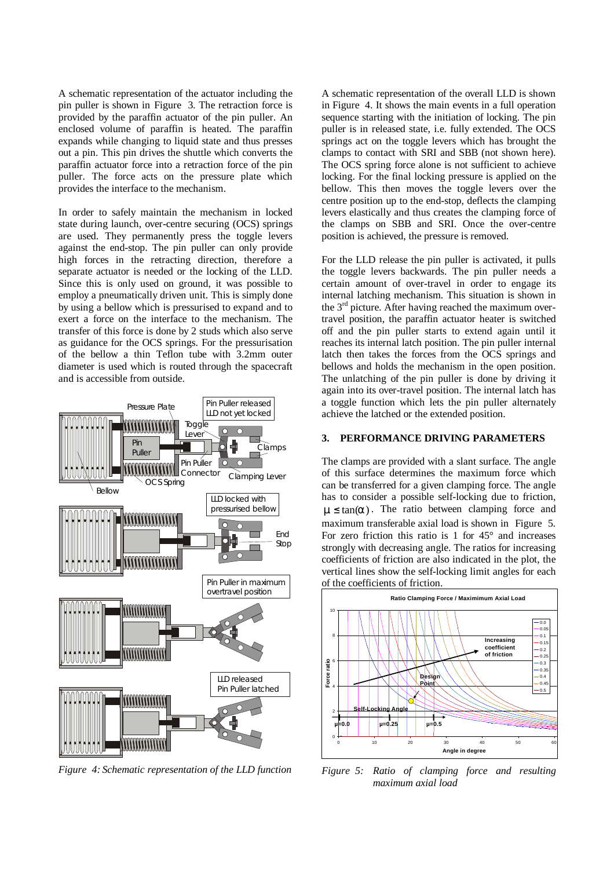A schematic representation of the actuator including the pin puller is shown in Figure 3. The retraction force is provided by the paraffin actuator of the pin puller. An enclosed volume of paraffin is heated. The paraffin expands while changing to liquid state and thus presses out a pin. This pin drives the shuttle which converts the paraffin actuator force into a retraction force of the pin puller. The force acts on the pressure plate which provides the interface to the mechanism.

In order to safely maintain the mechanism in locked state during launch, over-centre securing (OCS) springs are used. They permanently press the toggle levers against the end-stop. The pin puller can only provide high forces in the retracting direction, therefore a separate actuator is needed or the locking of the LLD. Since this is only used on ground, it was possible to employ a pneumatically driven unit. This is simply done by using a bellow which is pressurised to expand and to exert a force on the interface to the mechanism. The transfer of this force is done by 2 studs which also serve as guidance for the OCS springs. For the pressurisation of the bellow a thin Teflon tube with 3.2mm outer diameter is used which is routed through the spacecraft and is accessible from outside.



*Figure 4: Schematic representation of the LLD function*

A schematic representation of the overall LLD is shown in Figure 4. It shows the main events in a full operation sequence starting with the initiation of locking. The pin puller is in released state, i.e. fully extended. The OCS springs act on the toggle levers which has brought the clamps to contact with SRI and SBB (not shown here). The OCS spring force alone is not sufficient to achieve locking. For the final locking pressure is applied on the bellow. This then moves the toggle levers over the centre position up to the end-stop, deflects the clamping levers elastically and thus creates the clamping force of the clamps on SBB and SRI. Once the over-centre position is achieved, the pressure is removed.

For the LLD release the pin puller is activated, it pulls the toggle levers backwards. The pin puller needs a certain amount of over-travel in order to engage its internal latching mechanism. This situation is shown in the 3<sup>rd</sup> picture. After having reached the maximum overtravel position, the paraffin actuator heater is switched off and the pin puller starts to extend again until it reaches its internal latch position. The pin puller internal latch then takes the forces from the OCS springs and bellows and holds the mechanism in the open position. The unlatching of the pin puller is done by driving it again into its over-travel position. The internal latch has a toggle function which lets the pin puller alternately achieve the latched or the extended position.

### **3. PERFORMANCE DRIVING PARAMETERS**

The clamps are provided with a slant surface. The angle of this surface determines the maximum force which can be transferred for a given clamping force. The angle has to consider a possible self-locking due to friction,  $m \leq \tan(a)$ . The ratio between clamping force and maximum transferable axial load is shown in Figure 5. For zero friction this ratio is 1 for 45° and increases strongly with decreasing angle. The ratios for increasing coefficients of friction are also indicated in the plot, the vertical lines show the self-locking limit angles for each of the coefficients of friction.



*Figure 5: Ratio of clamping force and resulting maximum axial load*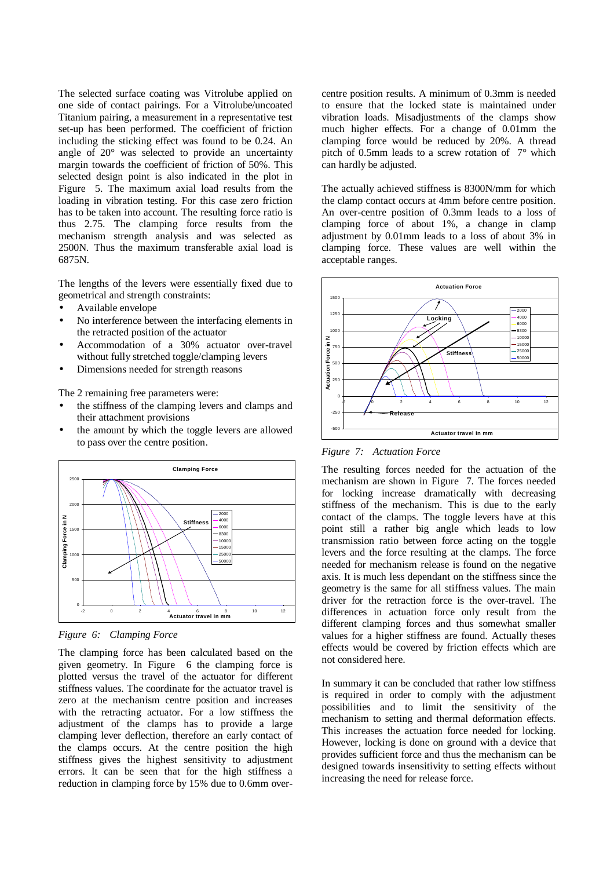The selected surface coating was Vitrolube applied on one side of contact pairings. For a Vitrolube/uncoated Titanium pairing, a measurement in a representative test set-up has been performed. The coefficient of friction including the sticking effect was found to be 0.24. An angle of 20° was selected to provide an uncertainty margin towards the coefficient of friction of 50%. This selected design point is also indicated in the plot in Figure 5. The maximum axial load results from the loading in vibration testing. For this case zero friction has to be taken into account. The resulting force ratio is thus 2.75. The clamping force results from the mechanism strength analysis and was selected as 2500N. Thus the maximum transferable axial load is 6875N.

The lengths of the levers were essentially fixed due to geometrical and strength constraints:

- Available envelope
- No interference between the interfacing elements in the retracted position of the actuator
- Accommodation of a 30% actuator over-travel without fully stretched toggle/clamping levers
- Dimensions needed for strength reasons

The 2 remaining free parameters were:

- the stiffness of the clamping levers and clamps and their attachment provisions
- the amount by which the toggle levers are allowed to pass over the centre position.



*Figure 6: Clamping Force*

The clamping force has been calculated based on the given geometry. In Figure 6 the clamping force is plotted versus the travel of the actuator for different stiffness values. The coordinate for the actuator travel is zero at the mechanism centre position and increases with the retracting actuator. For a low stiffness the adjustment of the clamps has to provide a large clamping lever deflection, therefore an early contact of the clamps occurs. At the centre position the high stiffness gives the highest sensitivity to adjustment errors. It can be seen that for the high stiffness a reduction in clamping force by 15% due to 0.6mm overcentre position results. A minimum of 0.3mm is needed to ensure that the locked state is maintained under vibration loads. Misadjustments of the clamps show much higher effects. For a change of 0.01mm the clamping force would be reduced by 20%. A thread pitch of 0.5mm leads to a screw rotation of 7° which can hardly be adjusted.

The actually achieved stiffness is 8300N/mm for which the clamp contact occurs at 4mm before centre position. An over-centre position of 0.3mm leads to a loss of clamping force of about 1%, a change in clamp adjustment by 0.01mm leads to a loss of about 3% in clamping force. These values are well within the acceptable ranges.



*Figure 7: Actuation Force*

The resulting forces needed for the actuation of the mechanism are shown in Figure 7. The forces needed for locking increase dramatically with decreasing stiffness of the mechanism. This is due to the early contact of the clamps. The toggle levers have at this point still a rather big angle which leads to low transmission ratio between force acting on the toggle levers and the force resulting at the clamps. The force needed for mechanism release is found on the negative axis. It is much less dependant on the stiffness since the geometry is the same for all stiffness values. The main driver for the retraction force is the over-travel. The differences in actuation force only result from the different clamping forces and thus somewhat smaller values for a higher stiffness are found. Actually theses effects would be covered by friction effects which are not considered here.

In summary it can be concluded that rather low stiffness is required in order to comply with the adjustment possibilities and to limit the sensitivity of the mechanism to setting and thermal deformation effects. This increases the actuation force needed for locking. However, locking is done on ground with a device that provides sufficient force and thus the mechanism can be designed towards insensitivity to setting effects without increasing the need for release force.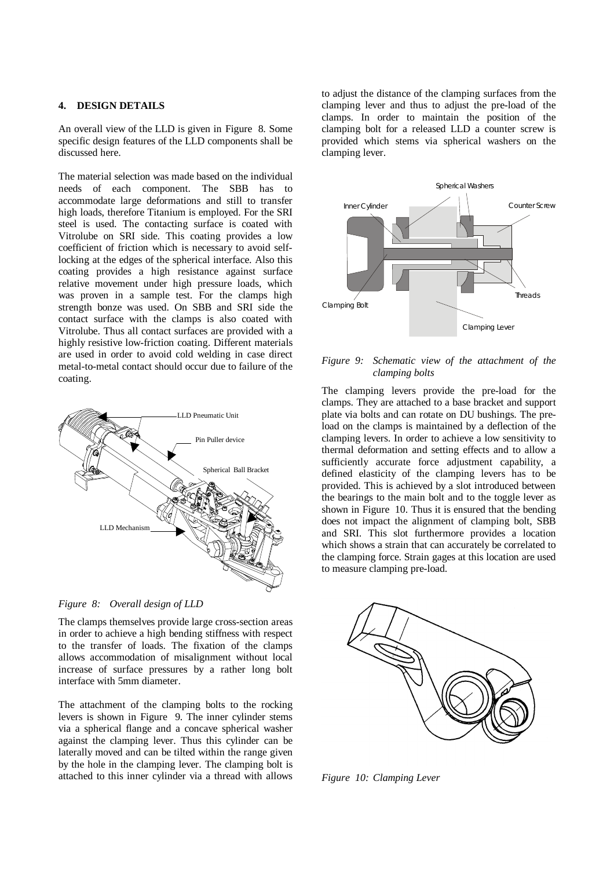# **4. DESIGN DETAILS**

An overall view of the LLD is given in Figure 8. Some specific design features of the LLD components shall be discussed here.

The material selection was made based on the individual needs of each component. The SBB has to accommodate large deformations and still to transfer high loads, therefore Titanium is employed. For the SRI steel is used. The contacting surface is coated with Vitrolube on SRI side. This coating provides a low coefficient of friction which is necessary to avoid selflocking at the edges of the spherical interface. Also this coating provides a high resistance against surface relative movement under high pressure loads, which was proven in a sample test. For the clamps high strength bonze was used. On SBB and SRI side the contact surface with the clamps is also coated with Vitrolube. Thus all contact surfaces are provided with a highly resistive low-friction coating. Different materials are used in order to avoid cold welding in case direct metal-to-metal contact should occur due to failure of the coating.





The clamps themselves provide large cross-section areas in order to achieve a high bending stiffness with respect to the transfer of loads. The fixation of the clamps allows accommodation of misalignment without local increase of surface pressures by a rather long bolt interface with 5mm diameter.

The attachment of the clamping bolts to the rocking levers is shown in Figure 9. The inner cylinder stems via a spherical flange and a concave spherical washer against the clamping lever. Thus this cylinder can be laterally moved and can be tilted within the range given by the hole in the clamping lever. The clamping bolt is attached to this inner cylinder via a thread with allows to adjust the distance of the clamping surfaces from the clamping lever and thus to adjust the pre-load of the clamps. In order to maintain the position of the clamping bolt for a released LLD a counter screw is provided which stems via spherical washers on the clamping lever.



# *Figure 9: Schematic view of the attachment of the clamping bolts*

The clamping levers provide the pre-load for the clamps. They are attached to a base bracket and support plate via bolts and can rotate on DU bushings. The preload on the clamps is maintained by a deflection of the clamping levers. In order to achieve a low sensitivity to thermal deformation and setting effects and to allow a sufficiently accurate force adjustment capability, a defined elasticity of the clamping levers has to be provided. This is achieved by a slot introduced between the bearings to the main bolt and to the toggle lever as shown in Figure 10. Thus it is ensured that the bending does not impact the alignment of clamping bolt, SBB and SRI. This slot furthermore provides a location which shows a strain that can accurately be correlated to the clamping force. Strain gages at this location are used to measure clamping pre-load.



*Figure 10: Clamping Lever*